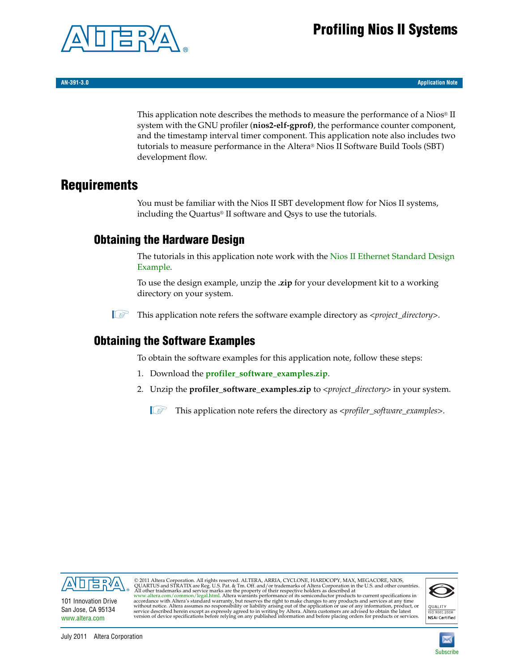# **Profiling Nios II Systems**



**AN-391-3.0 Application Note**

This application note describes the methods to measure the performance of a Nios® II system with the GNU profiler (**nios2-elf-gprof)**, the performance counter component, and the timestamp interval timer component. This application note also includes two tutorials to measure performance in the Altera® Nios II Software Build Tools (SBT) development flow.

### **Requirements**

You must be familiar with the Nios II SBT development flow for Nios II systems, including the Quartus® II software and Qsys to use the tutorials.

### <span id="page-0-0"></span>**Obtaining the Hardware Design**

The tutorials in this application note work with the [Nios II Ethernet Standard Design](http://www.altera.com/support/examples/nios2/exm-net-std-de.html)  [Example.](http://www.altera.com/support/examples/nios2/exm-net-std-de.html)

To use the design example, unzip the **.zip** for your development kit to a working directory on your system.

1 This application note refers the software example directory as *<project\_directory>*.

### <span id="page-0-1"></span>**Obtaining the Software Examples**

To obtain the software examples for this application note, follow these steps:

- 1. Download the **[profiler\\_software\\_examples.zip](http://www.altera.com/literature/an/profiler_software_examples.zip)**.
- 2. Unzip the **profiler\_software\_examples.zip** to *<project\_directory>* in your system.

1 This application note refers the directory as <*profiler\_software\_examples*>.



101 Innovation Drive San Jose, CA 95134 [www.altera.com](http://www.altera.com)

© 2011 Altera Corporation. All rights reserved. ALTERA, ARRIA, CYCLONE, HARDCOPY, MAX, MEGACORE, NIOS,<br>QUIARTUS and STRATIX are Reg. U.S. Pat. & Tm. Off. and/or trademarks of Altera Corporation in the U.S. and other countr



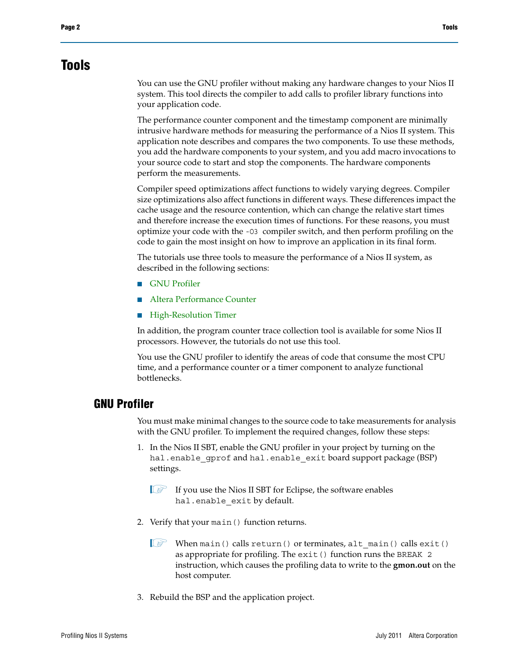## **Tools**

You can use the GNU profiler without making any hardware changes to your Nios II system. This tool directs the compiler to add calls to profiler library functions into your application code.

The performance counter component and the timestamp component are minimally intrusive hardware methods for measuring the performance of a Nios II system. This application note describes and compares the two components. To use these methods, you add the hardware components to your system, and you add macro invocations to your source code to start and stop the components. The hardware components perform the measurements.

Compiler speed optimizations affect functions to widely varying degrees. Compiler size optimizations also affect functions in different ways. These differences impact the cache usage and the resource contention, which can change the relative start times and therefore increase the execution times of functions. For these reasons, you must optimize your code with the -O3 compiler switch, and then perform profiling on the code to gain the most insight on how to improve an application in its final form.

The tutorials use three tools to measure the performance of a Nios II system, as described in the following sections:

- [GNU Profiler](#page-1-0)
- [Altera Performance Counter](#page-2-0)
- [High-Resolution Timer](#page-2-1)

In addition, the program counter trace collection tool is available for some Nios II processors. However, the tutorials do not use this tool.

You use the GNU profiler to identify the areas of code that consume the most CPU time, and a performance counter or a timer component to analyze functional bottlenecks.

#### <span id="page-1-0"></span>**GNU Profiler**

You must make minimal changes to the source code to take measurements for analysis with the GNU profiler. To implement the required changes, follow these steps:

- 1. In the Nios II SBT, enable the GNU profiler in your project by turning on the hal.enable\_gprof and hal.enable\_exit board support package (BSP) settings.
	- $\mathbb{I}$  If you use the Nios II SBT for Eclipse, the software enables hal.enable exit by default.
- 2. Verify that your main() function returns.
	- $\mathbb{I} \ni$  When main() calls return() or terminates, alt\_main() calls exit() as appropriate for profiling. The exit() function runs the BREAK 2 instruction, which causes the profiling data to write to the **gmon.out** on the host computer.
- 3. Rebuild the BSP and the application project.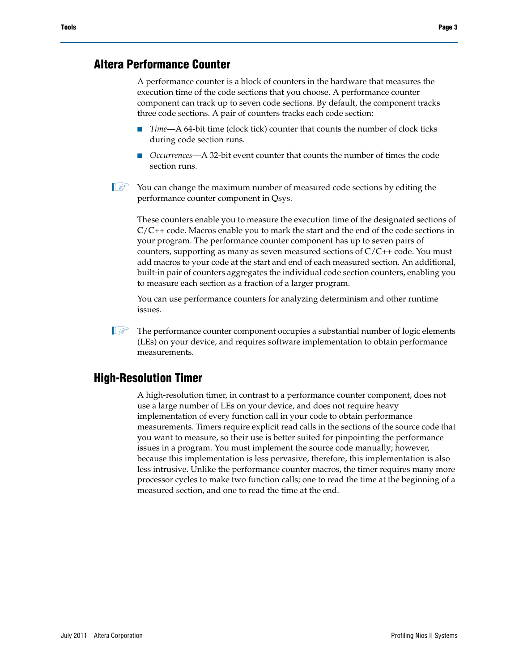#### <span id="page-2-0"></span>**Altera Performance Counter**

A performance counter is a block of counters in the hardware that measures the execution time of the code sections that you choose. A performance counter component can track up to seven code sections. By default, the component tracks three code sections. A pair of counters tracks each code section:

- Time—A 64-bit time (clock tick) counter that counts the number of clock ticks during code section runs.
- *Occurrences*—A 32-bit event counter that counts the number of times the code section runs.
- $\mathbb{I}$  You can change the maximum number of measured code sections by editing the performance counter component in Qsys.

These counters enable you to measure the execution time of the designated sections of  $C/C++$  code. Macros enable you to mark the start and the end of the code sections in your program. The performance counter component has up to seven pairs of counters, supporting as many as seven measured sections of C/C++ code. You must add macros to your code at the start and end of each measured section. An additional, built-in pair of counters aggregates the individual code section counters, enabling you to measure each section as a fraction of a larger program.

You can use performance counters for analyzing determinism and other runtime issues.

 $\mathbb{I}$  The performance counter component occupies a substantial number of logic elements (LEs) on your device, and requires software implementation to obtain performance measurements.

#### <span id="page-2-1"></span>**High-Resolution Timer**

A high-resolution timer, in contrast to a performance counter component, does not use a large number of LEs on your device, and does not require heavy implementation of every function call in your code to obtain performance measurements. Timers require explicit read calls in the sections of the source code that you want to measure, so their use is better suited for pinpointing the performance issues in a program. You must implement the source code manually; however, because this implementation is less pervasive, therefore, this implementation is also less intrusive. Unlike the performance counter macros, the timer requires many more processor cycles to make two function calls; one to read the time at the beginning of a measured section, and one to read the time at the end.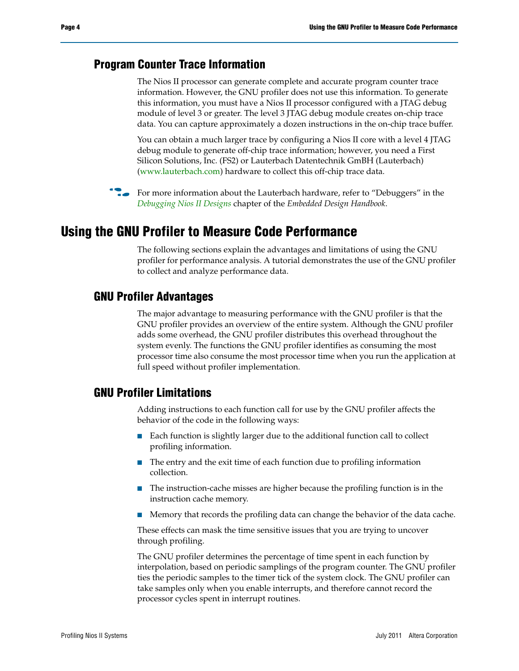### <span id="page-3-0"></span>**Program Counter Trace Information**

The Nios II processor can generate complete and accurate program counter trace information. However, the GNU profiler does not use this information. To generate this information, you must have a Nios II processor configured with a JTAG debug module of level 3 or greater. The level 3 JTAG debug module creates on-chip trace data. You can capture approximately a dozen instructions in the on-chip trace buffer.

You can obtain a much larger trace by configuring a Nios II core with a level 4 JTAG debug module to generate off-chip trace information; however, you need a First Silicon Solutions, Inc. (FS2) or Lauterbach Datentechnik GmBH (Lauterbach) [\(www.lauterbach.com\)](http://www.lauterbach.com) hardware to collect this off-chip trace data.

f For more information about the Lauterbach hardware, refer to "Debuggers" in the *[Debugging Nios II Designs](http://www.altera.com/literature/hb/nios2/edh_ed_handbook.pdf)* chapter of the *Embedded Design Handbook*.

### **Using the GNU Profiler to Measure Code Performance**

The following sections explain the advantages and limitations of using the GNU profiler for performance analysis. A tutorial demonstrates the use of the GNU profiler to collect and analyze performance data.

### **GNU Profiler Advantages**

The major advantage to measuring performance with the GNU profiler is that the GNU profiler provides an overview of the entire system. Although the GNU profiler adds some overhead, the GNU profiler distributes this overhead throughout the system evenly. The functions the GNU profiler identifies as consuming the most processor time also consume the most processor time when you run the application at full speed without profiler implementation.

### **GNU Profiler Limitations**

Adding instructions to each function call for use by the GNU profiler affects the behavior of the code in the following ways:

- Each function is slightly larger due to the additional function call to collect profiling information.
- The entry and the exit time of each function due to profiling information collection.
- The instruction-cache misses are higher because the profiling function is in the instruction cache memory.
- Memory that records the profiling data can change the behavior of the data cache.

These effects can mask the time sensitive issues that you are trying to uncover through profiling.

The GNU profiler determines the percentage of time spent in each function by interpolation, based on periodic samplings of the program counter. The GNU profiler ties the periodic samples to the timer tick of the system clock. The GNU profiler can take samples only when you enable interrupts, and therefore cannot record the processor cycles spent in interrupt routines.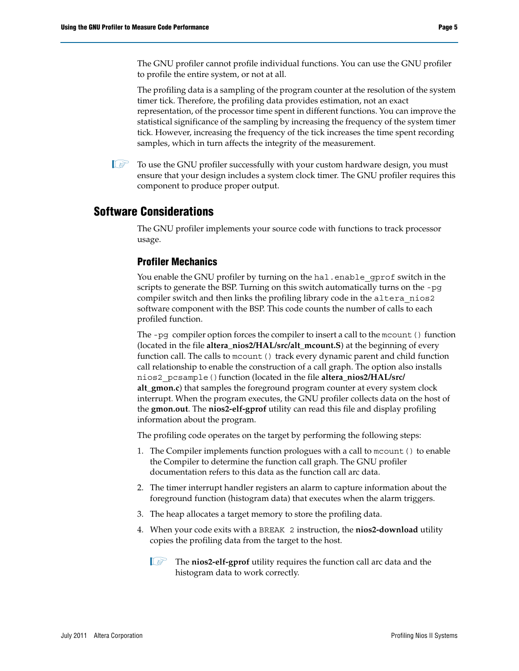The GNU profiler cannot profile individual functions. You can use the GNU profiler to profile the entire system, or not at all.

The profiling data is a sampling of the program counter at the resolution of the system timer tick. Therefore, the profiling data provides estimation, not an exact representation, of the processor time spent in different functions. You can improve the statistical significance of the sampling by increasing the frequency of the system timer tick. However, increasing the frequency of the tick increases the time spent recording samples, which in turn affects the integrity of the measurement.

 $\mathbb{I}$  To use the GNU profiler successfully with your custom hardware design, you must ensure that your design includes a system clock timer. The GNU profiler requires this component to produce proper output.

### **Software Considerations**

The GNU profiler implements your source code with functions to track processor usage.

#### **Profiler Mechanics**

You enable the GNU profiler by turning on the hal. enable gprof switch in the scripts to generate the BSP. Turning on this switch automatically turns on the -pg compiler switch and then links the profiling library code in the altera nios2 software component with the BSP. This code counts the number of calls to each profiled function.

The -pg compiler option forces the compiler to insert a call to the mcount () function (located in the file **altera\_nios2/HAL/src/alt\_mcount.S**) at the beginning of every function call. The calls to mcount() track every dynamic parent and child function call relationship to enable the construction of a call graph. The option also installs nios2\_pcsample()function (located in the file **altera\_nios2/HAL/src/ alt\_gmon.c**) that samples the foreground program counter at every system clock interrupt. When the program executes, the GNU profiler collects data on the host of the **gmon.out**. The **nios2-elf-gprof** utility can read this file and display profiling information about the program.

The profiling code operates on the target by performing the following steps:

- 1. The Compiler implements function prologues with a call to mcount() to enable the Compiler to determine the function call graph. The GNU profiler documentation refers to this data as the function call arc data.
- 2. The timer interrupt handler registers an alarm to capture information about the foreground function (histogram data) that executes when the alarm triggers.
- 3. The heap allocates a target memory to store the profiling data.
- 4. When your code exits with a BREAK 2 instruction, the **nios2-download** utility copies the profiling data from the target to the host.
	- 1 The **nios2-elf-gprof** utility requires the function call arc data and the histogram data to work correctly.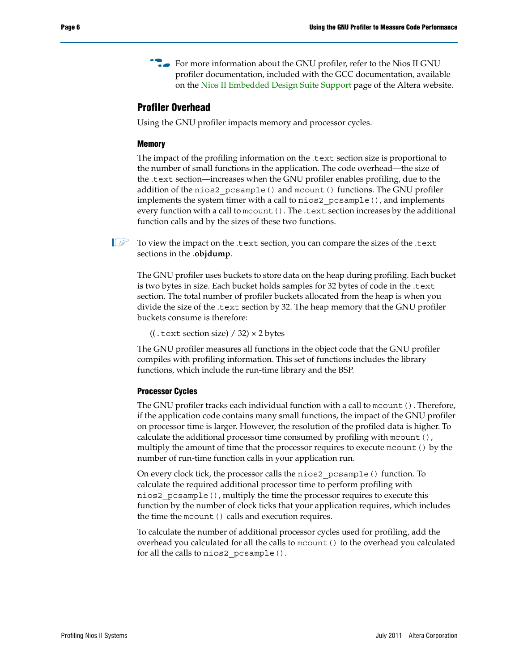**For more information about the GNU profiler, refer to the Nios II GNU** profiler documentation, included with the GCC documentation, available on the [Nios II Embedded Design Suite Support](http://www.altera.com/support/ip/processors/nios2/ips-nios2_support.html) page of the Altera website.

#### **Profiler Overhead**

Using the GNU profiler impacts memory and processor cycles.

#### **Memory**

The impact of the profiling information on the .text section size is proportional to the number of small functions in the application. The code overhead—the size of the .text section—increases when the GNU profiler enables profiling, due to the addition of the nios2\_pcsample() and mcount() functions. The GNU profiler implements the system timer with a call to nios2\_pcsample(), and implements every function with a call to mcount (). The .text section increases by the additional function calls and by the sizes of these two functions.

 $\mathbb{I}$  To view the impact on the .text section, you can compare the sizes of the .text sections in the .**objdump**.

The GNU profiler uses buckets to store data on the heap during profiling. Each bucket is two bytes in size. Each bucket holds samples for 32 bytes of code in the .text section. The total number of profiler buckets allocated from the heap is when you divide the size of the .text section by 32. The heap memory that the GNU profiler buckets consume is therefore:

((.text section size)  $/$  32)  $\times$  2 bytes

The GNU profiler measures all functions in the object code that the GNU profiler compiles with profiling information. This set of functions includes the library functions, which include the run-time library and the BSP.

#### **Processor Cycles**

The GNU profiler tracks each individual function with a call to mcount(). Therefore, if the application code contains many small functions, the impact of the GNU profiler on processor time is larger. However, the resolution of the profiled data is higher. To calculate the additional processor time consumed by profiling with mcount (), multiply the amount of time that the processor requires to execute mcount () by the number of run-time function calls in your application run.

On every clock tick, the processor calls the nios2\_pcsample() function. To calculate the required additional processor time to perform profiling with nios2\_pcsample(), multiply the time the processor requires to execute this function by the number of clock ticks that your application requires, which includes the time the mcount () calls and execution requires.

To calculate the number of additional processor cycles used for profiling, add the overhead you calculated for all the calls to mcount() to the overhead you calculated for all the calls to nios2\_pcsample().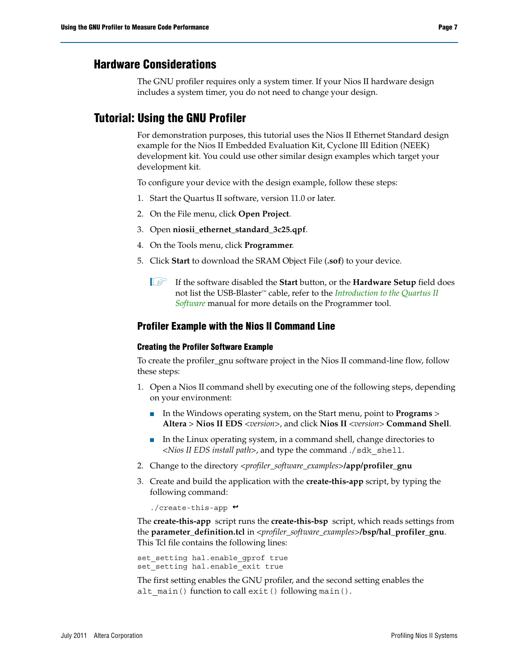### **Hardware Considerations**

The GNU profiler requires only a system timer. If your Nios II hardware design includes a system timer, you do not need to change your design.

### <span id="page-6-0"></span>**Tutorial: Using the GNU Profiler**

For demonstration purposes, this tutorial uses the Nios II Ethernet Standard design example for the Nios II Embedded Evaluation Kit, Cyclone III Edition (NEEK) development kit. You could use other similar design examples which target your development kit.

To configure your device with the design example, follow these steps:

- 1. Start the Quartus II software, version 11.0 or later.
- 2. On the File menu, click **Open Project**.
- 3. Open **niosii\_ethernet\_standard\_3c25.qpf**.
- 4. On the Tools menu, click **Programmer**.
- 5. Click **Start** to download the SRAM Object File (**.sof**) to your device.
	- 1 If the software disabled the **Start** button, or the **Hardware Setup** field does not list the USB-Blaster™ cable, refer to the *[Introduction to the Quartus II](http://www.altera.com/literature/manual/intro_to_quartus2.pdf)  [Software](http://www.altera.com/literature/manual/intro_to_quartus2.pdf)* manual for more details on the Programmer tool.

#### **Profiler Example with the Nios II Command Line**

#### **Creating the Profiler Software Example**

To create the profiler\_gnu software project in the Nios II command-line flow, follow these steps:

- 1. Open a Nios II command shell by executing one of the following steps, depending on your environment:
	- In the Windows operating system, on the Start menu, point to **Programs** > **Altera** > **Nios II EDS** *<version>*, and click **Nios II** *<version>* **Command Shell**.
	- In the Linux operating system, in a command shell, change directories to *<Nios II EDS install path>*, and type the command ./sdk\_shell.
- 2. Change to the directory *<profiler\_software\_examples>***/app/profiler\_gnu**
- 3. Create and build the application with the **create-this-app** script, by typing the following command:

 $./create-this-app$  +

The **create-this-app** script runs the **create-this-bsp** script, which reads settings from the **parameter\_definition.tcl** in *<profiler\_software\_examples>***/bsp/hal\_profiler\_gnu**. This Tcl file contains the following lines:

set setting hal.enable gprof true set setting hal.enable exit true

The first setting enables the GNU profiler, and the second setting enables the alt\_main() function to call exit() following main().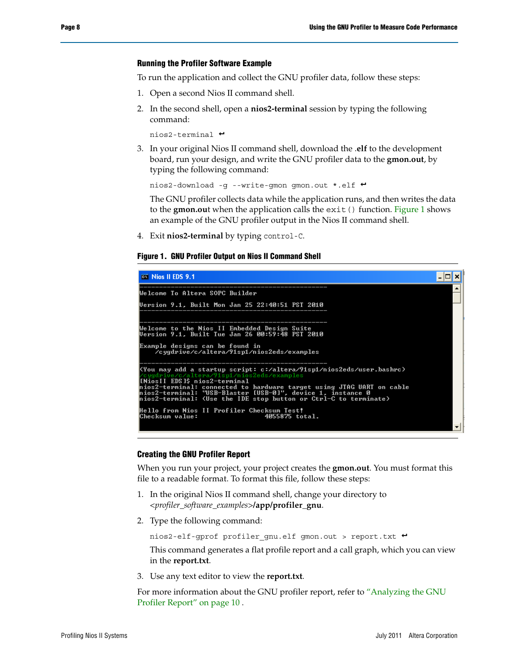#### **Running the Profiler Software Example**

To run the application and collect the GNU profiler data, follow these steps:

- 1. Open a second Nios II command shell.
- 2. In the second shell, open a **nios2-terminal** session by typing the following command:

```
nios2-terminal \rightarrow
```
3. In your original Nios II command shell, download the .**elf** to the development board, run your design, and write the GNU profiler data to the **gmon.out**, by typing the following command:

nios2-download -g --write-gmon gmon.out \*.elf  $\leftrightarrow$ 

The GNU profiler collects data while the application runs, and then writes the data to the **gmon.ou**t when the application calls the exit() function. [Figure 1](#page-7-0) shows an example of the GNU profiler output in the Nios II command shell.

4. Exit **nios2-terminal** by typing control-C.

#### <span id="page-7-0"></span>**Figure 1. GNU Profiler Output on Nios II Command Shell**

| <b>ex</b> Nios II EDS 9.1                                                                                                                                                                                                                                                                                                                                        |  |
|------------------------------------------------------------------------------------------------------------------------------------------------------------------------------------------------------------------------------------------------------------------------------------------------------------------------------------------------------------------|--|
| Welcome To Altera SOPC Builder                                                                                                                                                                                                                                                                                                                                   |  |
| Version 9.1, Built Mon Jan 25 22:40:51 PST 2010                                                                                                                                                                                                                                                                                                                  |  |
|                                                                                                                                                                                                                                                                                                                                                                  |  |
| Welcome to the Nios II Embedded Design Suite<br>Version 9.1. Built Tue Jan 26 00:59:48 PST 2010                                                                                                                                                                                                                                                                  |  |
| Example designs can be <u>found in</u><br>/cygdrive/c/altera/91sp1/nios2eds/examples                                                                                                                                                                                                                                                                             |  |
| KYou may add a startup script: c:/altera/91sp1/nios2eds/user.bashrc)<br>/cygdrive/c/altera/91sp1/nios2eds/examples<br> [NiosII EDS]\$ nios2-terminal<br>hios2-terminal: connected to hardware target using JTAG UART on cable<br>hios2-terminal: "USB-Blaster [USB-0]". device 1. instance 0<br>nios2-terminal: (Use the IDE stop button or Ctrl-C to terminate) |  |
| Hello from Nios II Profiler Checksum Test!<br> Checksum value:<br>4055875 total.                                                                                                                                                                                                                                                                                 |  |

#### <span id="page-7-1"></span>**Creating the GNU Profiler Report**

When you run your project, your project creates the **gmon.out**. You must format this file to a readable format. To format this file, follow these steps:

- 1. In the original Nios II command shell, change your directory to *<profiler\_software\_examples>***/app/profiler\_gnu**.
- 2. Type the following command:

nios2-elf-gprof profiler gnu.elf gmon.out > report.txt <sup>+</sup>

This command generates a flat profile report and a call graph, which you can view in the **report.txt**.

3. Use any text editor to view the **report.txt**.

For more information about the GNU profiler report, refer to ["Analyzing the GNU](#page-9-0)  [Profiler Report" on page 10](#page-9-0) .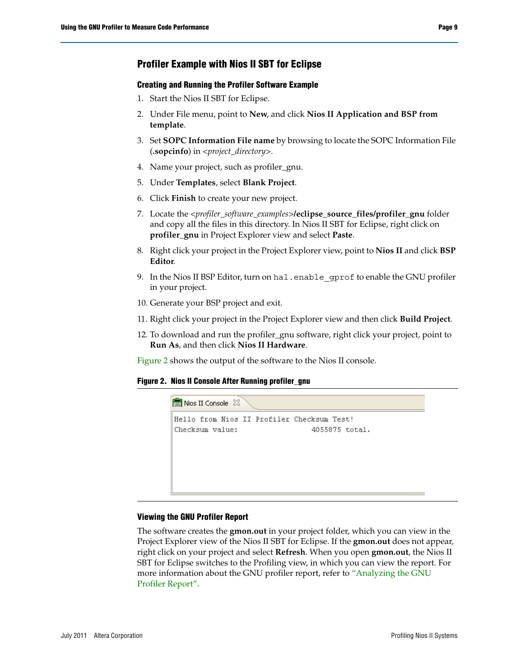#### **Profiler Example with Nios II SBT for Eclipse**

#### <span id="page-8-1"></span>**Creating and Running the Profiler Software Example**

- 1. Start the Nios II SBT for Eclipse.
- 2. Under File menu, point to **New**, and click **Nios II Application and BSP from template**.
- 3. Set **SOPC Information File name** by browsing to locate the SOPC Information File (**.sopcinfo**) in *<project\_directory>*.
- 4. Name your project, such as profiler\_gnu.
- 5. Under **Templates**, select **Blank Project**.
- 6. Click **Finish** to create your new project.
- 7. Locate the *<profiler\_software\_examples>***/eclipse\_source\_files/profiler\_gnu** folder and copy all the files in this directory. In Nios II SBT for Eclipse, right click on **profiler\_gnu** in Project Explorer view and select **Paste**.
- 8. Right click your project in the Project Explorer view, point to **Nios II** and click **BSP Editor**.
- 9. In the Nios II BSP Editor, turn on hal.enable\_gprof to enable the GNU profiler in your project.
- 10. Generate your BSP project and exit.
- 11. Right click your project in the Project Explorer view and then click **Build Project**.
- 12. To download and run the profiler\_gnu software, right click your project, point to **Run As**, and then click **Nios II Hardware**.

[Figure 2](#page-8-0) shows the output of the software to the Nios II console.

#### <span id="page-8-0"></span>**Figure 2. Nios II Console After Running profiler\_gnu**



#### **Viewing the GNU Profiler Report**

The software creates the **gmon.out** in your project folder, which you can view in the Project Explorer view of the Nios II SBT for Eclipse. If the **gmon.out** does not appear, right click on your project and select **Refresh**. When you open **gmon.out**, the Nios II SBT for Eclipse switches to the Profiling view, in which you can view the report. For more information about the GNU profiler report, refer to ["Analyzing the GNU](#page-9-0)  [Profiler Report".](#page-9-0)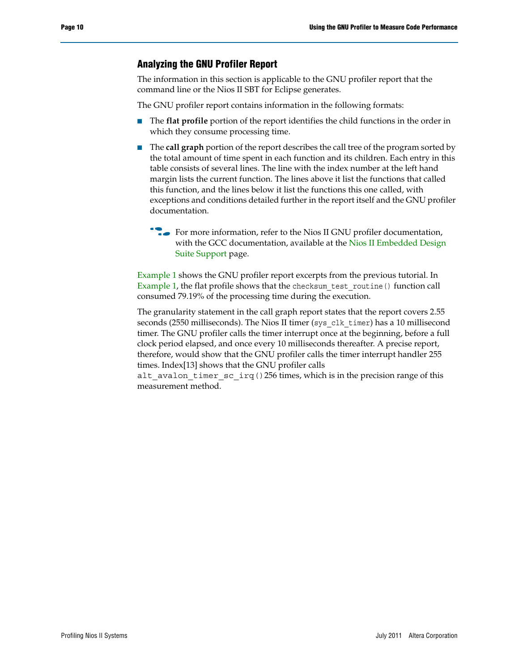#### <span id="page-9-0"></span>**Analyzing the GNU Profiler Report**

The information in this section is applicable to the GNU profiler report that the command line or the Nios II SBT for Eclipse generates.

The GNU profiler report contains information in the following formats:

- The **flat profile** portion of the report identifies the child functions in the order in which they consume processing time.
- The **call graph** portion of the report describes the call tree of the program sorted by the total amount of time spent in each function and its children. Each entry in this table consists of several lines. The line with the index number at the left hand margin lists the current function. The lines above it list the functions that called this function, and the lines below it list the functions this one called, with exceptions and conditions detailed further in the report itself and the GNU profiler documentation.
	- For more information, refer to the Nios II GNU profiler documentation, with the GCC documentation, available at the Nios II Embedded Design [Suite Support](http://www.altera.com/support/ip/processors/nios2/ips-nios2_support.html) page.

[Example 1](#page-10-0) shows the GNU profiler report excerpts from the previous tutorial. In [Example 1](#page-10-0), the flat profile shows that the checksum\_test\_routine() function call consumed 79.19% of the processing time during the execution.

The granularity statement in the call graph report states that the report covers 2.55 seconds (2550 milliseconds). The Nios II timer (sys\_clk\_timer) has a 10 millisecond timer. The GNU profiler calls the timer interrupt once at the beginning, before a full clock period elapsed, and once every 10 milliseconds thereafter. A precise report, therefore, would show that the GNU profiler calls the timer interrupt handler 255 times. Index[13] shows that the GNU profiler calls

alt\_avalon\_timer\_sc\_irq()256 times, which is in the precision range of this measurement method.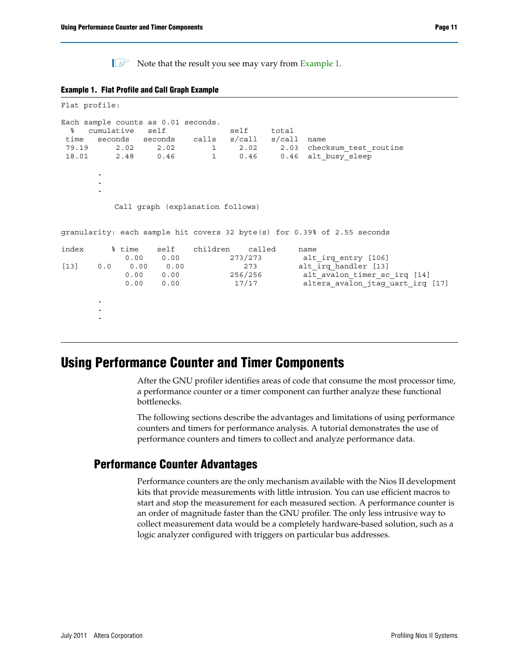$\mathbb{I}$  Note that the result you see may vary from [Example 1](#page-10-0).

<span id="page-10-0"></span>

|  |  | <b>Example 1. Flat Profile and Call Graph Example</b> |  |
|--|--|-------------------------------------------------------|--|
|--|--|-------------------------------------------------------|--|

```
Flat profile:
Each sample counts as 0.01 seconds.
% cumulative self self total
time seconds seconds calls s/call s/call name
79.19 2.02 2.02 1 2.02 2.03 checksum_test_routine
18.01  2.48  0.46  1  0.46  0.46  alt busy sleep
      .
      .
      .
        Call graph (explanation follows)
granularity: each sample hit covers 32 byte(s) for 0.39% of 2.55 seconds
index % time self children called name
         0.00  0.00  273/273   alt_irq_entry [106]
[13] 0.0 0.00 0.00 273 alt_irq_handler [13]
          0.00 0.00 256/256 alt avalon timer sc irq [14]
          0.00 0.00 17/17 altera avalon jtag uart irq [17]
      .
      .
      .
```
### **Using Performance Counter and Timer Components**

After the GNU profiler identifies areas of code that consume the most processor time, a performance counter or a timer component can further analyze these functional bottlenecks.

The following sections describe the advantages and limitations of using performance counters and timers for performance analysis. A tutorial demonstrates the use of performance counters and timers to collect and analyze performance data.

#### **Performance Counter Advantages**

Performance counters are the only mechanism available with the Nios II development kits that provide measurements with little intrusion. You can use efficient macros to start and stop the measurement for each measured section. A performance counter is an order of magnitude faster than the GNU profiler. The only less intrusive way to collect measurement data would be a completely hardware-based solution, such as a logic analyzer configured with triggers on particular bus addresses.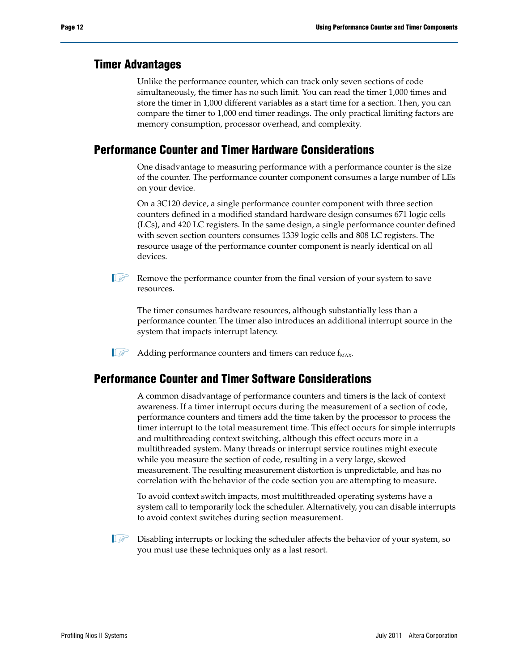#### **Timer Advantages**

Unlike the performance counter, which can track only seven sections of code simultaneously, the timer has no such limit. You can read the timer 1,000 times and store the timer in 1,000 different variables as a start time for a section. Then, you can compare the timer to 1,000 end timer readings. The only practical limiting factors are memory consumption, processor overhead, and complexity.

### **Performance Counter and Timer Hardware Considerations**

One disadvantage to measuring performance with a performance counter is the size of the counter. The performance counter component consumes a large number of LEs on your device.

On a 3C120 device, a single performance counter component with three section counters defined in a modified standard hardware design consumes 671 logic cells (LCs), and 420 LC registers. In the same design, a single performance counter defined with seven section counters consumes 1339 logic cells and 808 LC registers. The resource usage of the performance counter component is nearly identical on all devices.

 $\mathbb{I}$  Remove the performance counter from the final version of your system to save resources.

The timer consumes hardware resources, although substantially less than a performance counter. The timer also introduces an additional interrupt source in the system that impacts interrupt latency.

 $\mathbb{I} \mathcal{F}$  Adding performance counters and timers can reduce  $f_{MAX}$ .

### **Performance Counter and Timer Software Considerations**

A common disadvantage of performance counters and timers is the lack of context awareness. If a timer interrupt occurs during the measurement of a section of code, performance counters and timers add the time taken by the processor to process the timer interrupt to the total measurement time. This effect occurs for simple interrupts and multithreading context switching, although this effect occurs more in a multithreaded system. Many threads or interrupt service routines might execute while you measure the section of code, resulting in a very large, skewed measurement. The resulting measurement distortion is unpredictable, and has no correlation with the behavior of the code section you are attempting to measure.

To avoid context switch impacts, most multithreaded operating systems have a system call to temporarily lock the scheduler. Alternatively, you can disable interrupts to avoid context switches during section measurement.

 $\mathbb{I}$  Disabling interrupts or locking the scheduler affects the behavior of your system, so you must use these techniques only as a last resort.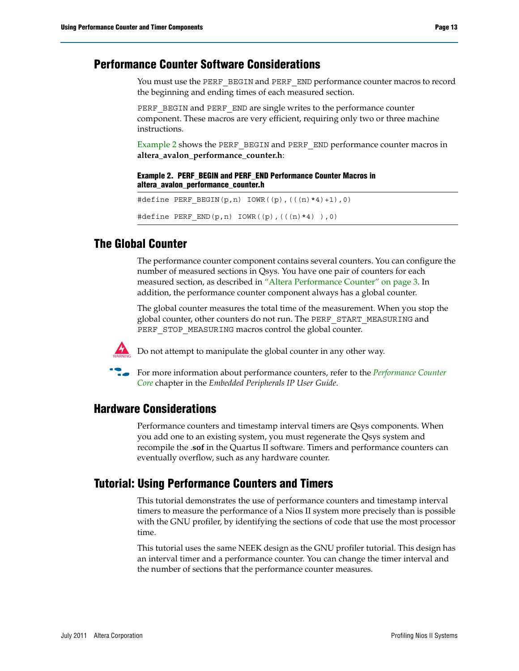#### **Performance Counter Software Considerations**

You must use the PERF\_BEGIN and PERF\_END performance counter macros to record the beginning and ending times of each measured section.

PERF\_BEGIN and PERF\_END are single writes to the performance counter component. These macros are very efficient, requiring only two or three machine instructions.

[Example 2](#page-12-0) shows the PERF\_BEGIN and PERF\_END performance counter macros in **altera\_avalon\_performance\_counter.h**:

#### <span id="page-12-0"></span>**Example 2. PERF\_BEGIN and PERF\_END Performance Counter Macros in altera\_avalon\_performance\_counter.h**

```
#define PERF BEGIN(p,n) IOWR((p),(((n)*4)+1),0)
\# \text{define } P \text{ERF\_END}(p, n) \text{ IOWR}((p), ((n)*4) ), 0)
```
### **The Global Counter**

The performance counter component contains several counters. You can configure the number of measured sections in Qsys. You have one pair of counters for each measured section, as described in ["Altera Performance Counter" on page 3.](#page-2-0) In addition, the performance counter component always has a global counter.

The global counter measures the total time of the measurement. When you stop the global counter, other counters do not run. The PERF\_START\_MEASURING and PERF\_STOP\_MEASURING macros control the global counter.



Do not attempt to manipulate the global counter in any other way.



**For more information about performance counters, refer to the** *Performance Counter* $\blacksquare$ *[Core](http://www.altera.com/literature/hb/nios2/qts_qii55001.pdf)* chapter in the *Embedded Peripherals IP User Guide*.

#### **Hardware Considerations**

Performance counters and timestamp interval timers are Qsys components. When you add one to an existing system, you must regenerate the Qsys system and recompile the .**sof** in the Quartus II software. Timers and performance counters can eventually overflow, such as any hardware counter.

#### **Tutorial: Using Performance Counters and Timers**

This tutorial demonstrates the use of performance counters and timestamp interval timers to measure the performance of a Nios II system more precisely than is possible with the GNU profiler, by identifying the sections of code that use the most processor time.

This tutorial uses the same NEEK design as the GNU profiler tutorial. This design has an interval timer and a performance counter. You can change the timer interval and the number of sections that the performance counter measures.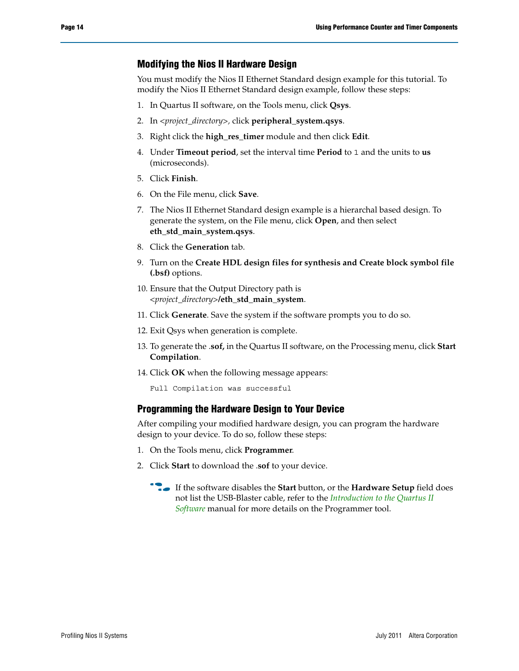#### <span id="page-13-0"></span>**Modifying the Nios II Hardware Design**

You must modify the Nios II Ethernet Standard design example for this tutorial. To modify the Nios II Ethernet Standard design example, follow these steps:

- 1. In Quartus II software, on the Tools menu, click **Qsys**.
- 2. In *<project\_directory>,* click **peripheral\_system.qsys**.
- 3. Right click the **high\_res\_timer** module and then click **Edit**.
- 4. Under **Timeout period**, set the interval time **Period** to 1 and the units to **us** (microseconds).
- 5. Click **Finish**.
- 6. On the File menu, click **Save**.
- 7. The Nios II Ethernet Standard design example is a hierarchal based design. To generate the system, on the File menu, click **Open**, and then select **eth\_std\_main\_system.qsys**.
- 8. Click the **Generation** tab.
- 9. Turn on the **Create HDL design files for synthesis and Create block symbol file (.bsf)** options.
- 10. Ensure that the Output Directory path is *<project\_directory>***/eth\_std\_main\_system**.
- 11. Click **Generate**. Save the system if the software prompts you to do so.
- 12. Exit Qsys when generation is complete.
- 13. To generate the .**sof,** in the Quartus II software, on the Processing menu, click **Start Compilation**.
- 14. Click **OK** when the following message appears:

Full Compilation was successful

#### **Programming the Hardware Design to Your Device**

After compiling your modified hardware design, you can program the hardware design to your device. To do so, follow these steps:

- 1. On the Tools menu, click **Programmer**.
- 2. Click **Start** to download the .**sof** to your device.
	- **Figure 15 If the software disables the Start** button, or the **Hardware Setup** field does not list the USB-Blaster cable, refer to the *[Introduction to the Quartus II](http://www.altera.com/literature/manual/intro_to_quartus2.pdf)  [Software](http://www.altera.com/literature/manual/intro_to_quartus2.pdf)* manual for more details on the Programmer tool.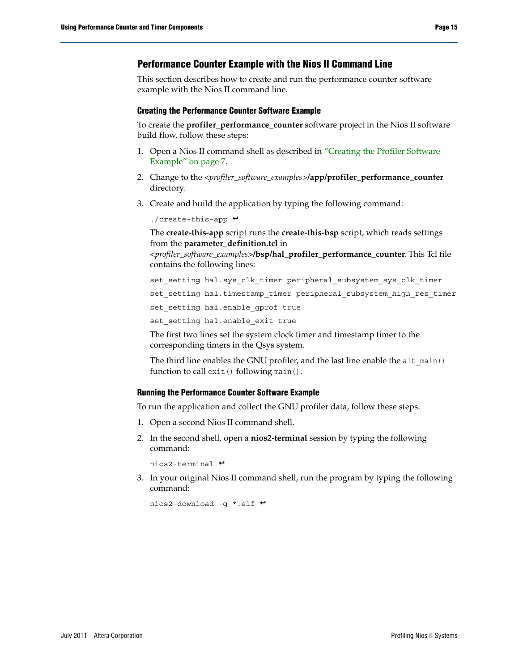#### **Performance Counter Example with the Nios II Command Line**

This section describes how to create and run the performance counter software example with the Nios II command line.

#### **Creating the Performance Counter Software Example**

To create the **profiler\_performance\_counter** software project in the Nios II software build flow, follow these steps:

- 1. Open a Nios II command shell as described in "Creating the Profiler Software Example" on page 7.
- 2. Change to the *<profiler\_software\_examples>***/app/profiler\_performance\_counter** directory.
- 3. Create and build the application by typing the following command:

 $./create-this-app$  +

The **create-this-app** script runs the **create-this-bsp** script, which reads settings from the **parameter\_definition.tcl** in

*<profiler\_software\_examples>***/bsp/hal\_profiler\_performance\_counter**. This Tcl file contains the following lines:

set\_setting hal.sys\_clk\_timer peripheral\_subsystem\_sys\_clk\_timer

set\_setting hal.timestamp\_timer peripheral\_subsystem\_high\_res\_timer

set setting hal.enable gprof true

set\_setting hal.enable\_exit true

The first two lines set the system clock timer and timestamp timer to the corresponding timers in the Qsys system.

The third line enables the GNU profiler, and the last line enable the alt main() function to call exit() following main().

#### **Running the Performance Counter Software Example**

To run the application and collect the GNU profiler data, follow these steps:

- 1. Open a second Nios II command shell.
- 2. In the second shell, open a **nios2-terminal** session by typing the following command:

nios2-terminal  $\leftrightarrow$ 

3. In your original Nios II command shell, run the program by typing the following command:

nios2-download -g \*.elf <sup>←</sup>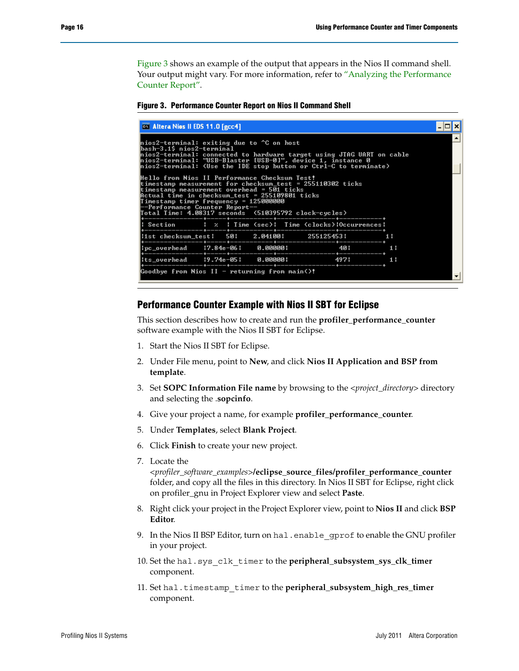[Figure 3](#page-15-0) shows an example of the output that appears in the Nios II command shell. Your output might vary. For more information, refer to "Analyzing the Performance [Counter Report".](#page-16-0)

<span id="page-15-0"></span>**Figure 3. Performance Counter Report on Nios II Command Shell**

| <b>EXECUTE: Altera Nios II EDS 11.0 [gcc4]</b>                                                                                                                                                                                                                                                                     |  |  |  |  |  |  |
|--------------------------------------------------------------------------------------------------------------------------------------------------------------------------------------------------------------------------------------------------------------------------------------------------------------------|--|--|--|--|--|--|
| hios2-terminal: exiting due to ^C on host<br>lbash-3.1\$ nios2-terminal<br>nios2-terminal: connected to hardware target using JTAG UART on cable<br>hios2-terminal: "USB-Blaster [USB-0]", device 1, instance 0<br> nios2-terminal: <use button="" ctrl-c="" ide="" or="" stop="" terminate="" the="" to=""></use> |  |  |  |  |  |  |
| Hello from Nios II Performance Checksum Test!<br>timestamp measurement for checksum_test = 255110302 ticks<br>timestamp measurement overhead = 501 ticks<br>Actual time in checksum_test = 255109801 ticks<br>Timestamp timer frequency = 125000000<br>--Performance Counter Report-                               |  |  |  |  |  |  |
| Section   x   Time (sec)   Time (clocks)   Occurrences                                                                                                                                                                                                                                                             |  |  |  |  |  |  |
| iist checksum_test  50  2.04100  255125453  1                                                                                                                                                                                                                                                                      |  |  |  |  |  |  |
|                                                                                                                                                                                                                                                                                                                    |  |  |  |  |  |  |
|                                                                                                                                                                                                                                                                                                                    |  |  |  |  |  |  |
| Goodbye from Nios II - returning from main()!                                                                                                                                                                                                                                                                      |  |  |  |  |  |  |

#### <span id="page-15-1"></span>**Performance Counter Example with Nios II SBT for Eclipse**

This section describes how to create and run the **profiler\_performance\_counter** software example with the Nios II SBT for Eclipse.

- 1. Start the Nios II SBT for Eclipse.
- 2. Under File menu, point to **New**, and click **Nios II Application and BSP from template**.
- 3. Set **SOPC Information File name** by browsing to the *<project\_directory>* directory and selecting the .**sopcinfo**.
- 4. Give your project a name, for example **profiler\_performance\_counter**.
- 5. Under **Templates**, select **Blank Project**.
- 6. Click **Finish** to create your new project.
- 7. Locate the

*<profiler\_software\_examples>***/eclipse\_source\_files/profiler\_performance\_counter**  folder, and copy all the files in this directory. In Nios II SBT for Eclipse, right click on profiler\_gnu in Project Explorer view and select **Paste**.

- 8. Right click your project in the Project Explorer view, point to **Nios II** and click **BSP Editor**.
- 9. In the Nios II BSP Editor, turn on hal.enable\_gprof to enable the GNU profiler in your project.
- 10. Set the hal.sys\_clk\_timer to the **peripheral\_subsystem\_sys\_clk\_timer** component.
- 11. Set hal.timestamp\_timer to the **peripheral\_subsystem\_high\_res\_timer** component.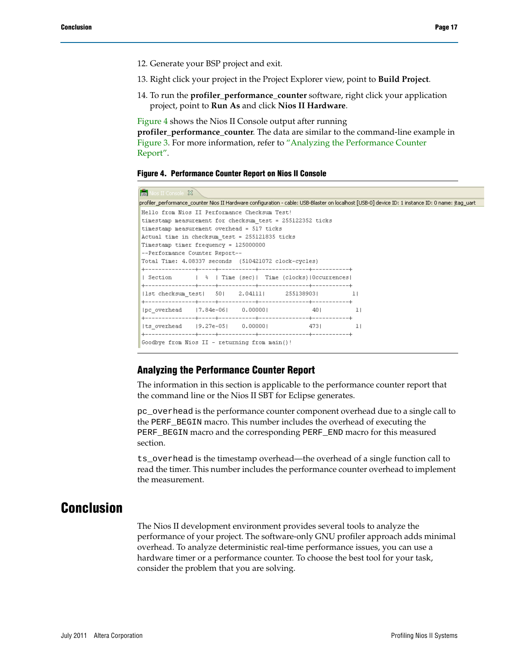- 12. Generate your BSP project and exit.
- 13. Right click your project in the Project Explorer view, point to **Build Project**.
- 14. To run the **profiler\_performance\_counter** software, right click your application project, point to **Run As** and click **Nios II Hardware**.

[Figure 4](#page-16-1) shows the Nios II Console output after running

**profiler\_performance\_counter**. The data are similar to the command-line example in [Figure 3](#page-15-0). For more information, refer to ["Analyzing the Performance Counter](#page-16-0)  [Report"](#page-16-0).

#### <span id="page-16-1"></span>**Figure 4. Performance Counter Report on Nios II Console**

| <b>Ford</b> Nios II Console 23                                                                                                                    |  |  |  |
|---------------------------------------------------------------------------------------------------------------------------------------------------|--|--|--|
| profiler_performance_counter Nios II Hardware configuration - cable: USB-Blaster on localhost [USB-0] device ID: 1 instance ID: 0 name: jtag_uart |  |  |  |
| Hello from Nios II Performance Checksum Test!                                                                                                     |  |  |  |
| timestamp measurement for checksum test = 255122352 ticks                                                                                         |  |  |  |
| timestamp measurement overhead = 517 ticks                                                                                                        |  |  |  |
| Actual time in checksum test = 255121835 ticks                                                                                                    |  |  |  |
| Timestamp timer frequency = 125000000                                                                                                             |  |  |  |
| --Performance Counter Report--                                                                                                                    |  |  |  |
| Total Time: 4.08337 seconds (510421072 clock-cycles)                                                                                              |  |  |  |
|                                                                                                                                                   |  |  |  |
| Section   %   Time (sec)  Time (clocks)  Occurrences                                                                                              |  |  |  |
|                                                                                                                                                   |  |  |  |
| $ 1st$ checksum test $  50  2.04111   255138903   1 $                                                                                             |  |  |  |
|                                                                                                                                                   |  |  |  |
| pc_overhead  7.84e-06  0.00000  40  1                                                                                                             |  |  |  |
| (ts overhead (9.27e-05) 0.00000) 473 (473)                                                                                                        |  |  |  |
|                                                                                                                                                   |  |  |  |
| Goodbye from Nios II - returning from main()!                                                                                                     |  |  |  |

#### <span id="page-16-0"></span>**Analyzing the Performance Counter Report**

The information in this section is applicable to the performance counter report that the command line or the Nios II SBT for Eclipse generates.

pc\_overhead is the performance counter component overhead due to a single call to the PERF\_BEGIN macro. This number includes the overhead of executing the PERF\_BEGIN macro and the corresponding PERF\_END macro for this measured section.

ts\_overhead is the timestamp overhead—the overhead of a single function call to read the timer. This number includes the performance counter overhead to implement the measurement.

### **Conclusion**

The Nios II development environment provides several tools to analyze the performance of your project. The software-only GNU profiler approach adds minimal overhead. To analyze deterministic real-time performance issues, you can use a hardware timer or a performance counter. To choose the best tool for your task, consider the problem that you are solving.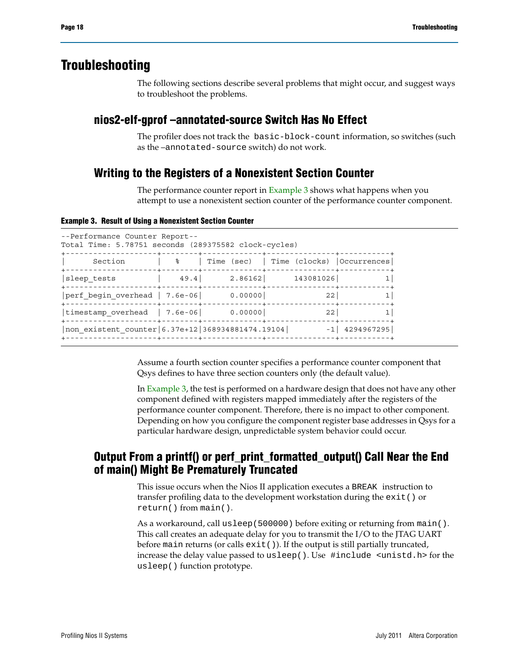### **Troubleshooting**

The following sections describe several problems that might occur, and suggest ways to troubleshoot the problems.

### **nios2-elf-gprof –annotated-source Switch Has No Effect**

The profiler does not track the basic-block-count information, so switches (such as the –annotated-source switch) do not work.

### **Writing to the Registers of a Nonexistent Section Counter**

The performance counter report in [Example 3](#page-17-0) shows what happens when you attempt to use a nonexistent section counter of the performance counter component.

<span id="page-17-0"></span>**Example 3. Result of Using a Nonexistent Section Counter**

| --Performance Counter Report--<br>Total Time: 5.78751 seconds (289375582 clock-cycles) |                                                         |             |                                          |                   |
|----------------------------------------------------------------------------------------|---------------------------------------------------------|-------------|------------------------------------------|-------------------|
| Section                                                                                | - - - - - <del>+</del> - - - - - - - + - - - - - -<br>ႜ | -----+----- | Time (sec)   Time (clocks)   Occurrences |                   |
| sleep tests                                                                            | 49.4                                                    | 2.86162     | 143081026                                |                   |
| $ perf$ begin overhead $  7.6e-06   0.00000  $                                         |                                                         |             | 22                                       |                   |
| $ $ timestamp overhead $ 7.6e-06 $                                                     |                                                         | 0.00000     | 22                                       |                   |
| non existent counter 6.37e+12 368934881474.19104                                       |                                                         |             |                                          | $-1$   4294967295 |
|                                                                                        |                                                         |             |                                          |                   |

Assume a fourth section counter specifies a performance counter component that Qsys defines to have three section counters only (the default value).

In [Example 3,](#page-17-0) the test is performed on a hardware design that does not have any other component defined with registers mapped immediately after the registers of the performance counter component. Therefore, there is no impact to other component. Depending on how you configure the component register base addresses in Qsys for a particular hardware design, unpredictable system behavior could occur.

### **Output From a printf() or perf\_print\_formatted\_output() Call Near the End of main() Might Be Prematurely Truncated**

This issue occurs when the Nios II application executes a BREAK instruction to transfer profiling data to the development workstation during the exit() or return() from main().

As a workaround, call usleep(500000) before exiting or returning from main(). This call creates an adequate delay for you to transmit the I/O to the JTAG UART before main returns (or calls  $exit()$ ). If the output is still partially truncated, increase the delay value passed to usleep(). Use #include <unistd.h> for the usleep() function prototype.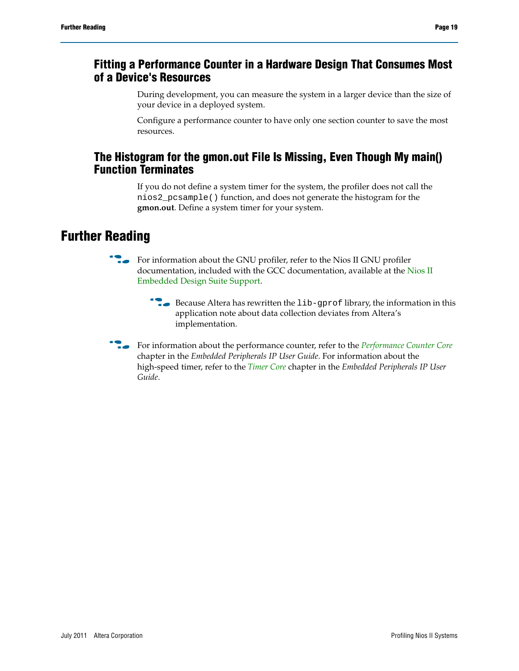### **Fitting a Performance Counter in a Hardware Design That Consumes Most of a Device's Resources**

During development, you can measure the system in a larger device than the size of your device in a deployed system.

Configure a performance counter to have only one section counter to save the most resources.

### **The Histogram for the gmon.out File Is Missing, Even Though My main() Function Terminates**

If you do not define a system timer for the system, the profiler does not call the nios2\_pcsample() function, and does not generate the histogram for the **gmon.out**. Define a system timer for your system.

# **Further Reading**

- For information about the GNU profiler, refer to the Nios II GNU profiler documentation, included with the GCC documentation, available at the [Nios II](http://www.altera.com/support/ip/processors/nios2/ips-nios2_support.html)  [Embedded Design Suite Support](http://www.altera.com/support/ip/processors/nios2/ips-nios2_support.html).
	- **F** Because Altera has rewritten the  $\text{lib-gprof}$  library, the information in this application note about data collection deviates from Altera's implementation.
- **For information about the performance counter, refer to the** *[Performance Counter Core](http://www.altera.com/literature/hb/nios2/qts_qii55001.pdf)* chapter in the *Embedded Peripherals IP User Guide*. For information about the high-speed timer, refer to the *[Timer Core](http://www.altera.com/literature/hb/nios2/n2cpu_nii51008.pdf)* chapter in the *Embedded Peripherals IP User Guide*.